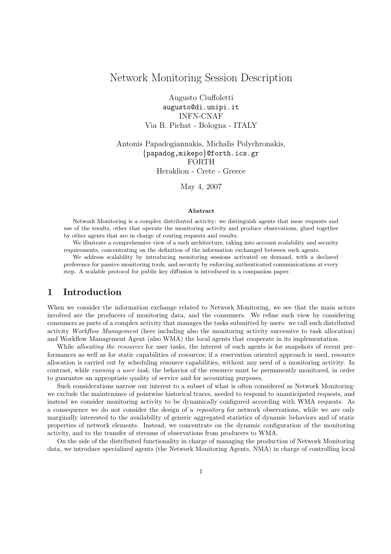# Network Monitoring Session Description

Augusto Ciuffoletti augusto@di.unipi.it INFN-CNAF Via B. Pichat - Bologna - ITALY

Antonis Papadogiannakis, Michalis Polychronakis, {papadog,mikepo}@forth.ics.gr FORTH Heraklion - Crete - Greece

May 4, 2007

### Abstract

Network Monitoring is a complex distributed activity: we distinguish agents that issue requests and use of the results, other that operate the monitoring activity and produce observations, glued together by other agents that are in charge of routing requests and results.

We illustrate a comprehensive view of a such architecture, taking into account scalability and security requirements, concentrating on the definition of the information exchanged between such agents.

We address scalability by introducing monitoring sessions activated on demand, with a declared preference for passive monitoring tools, and security by enforcing authenticated communications at every step. A scalable protocol for public key diffusion is introduced in a companion paper.

### 1 Introduction

When we consider the information exchange related to Network Monitoring, we see that the main actors involved are the producers of monitoring data, and the consumers. We refine such view by considering consumers as parts of a complex activity that manages the tasks submitted by users: we call such distributed activity Workflow Management (here including also the monitoring activity successive to task allocation) and Workflow Management Agent (also WMA) the local agents that cooperate in its implementation.

While *allocating the resources* for user tasks, the interest of such agents is for snapshots of recent performances as well as for static capabilities of resources; if a reservation oriented approach is used, resource allocation is carried out by scheduling resource capabilities, without any need of a monitoring activity. In contrast, while *running a user task*, the behavior of the resource must be permanently monitored, in order to guarantee an appropriate quality of service and for accounting purposes.

Such considerations narrow our interest to a subset of what is often considered as Network Monitoring: we exclude the maintenance of pointwise historical traces, needed to respond to unanticipated requests, and instead we consider monitoring activity to be dynamically configured according with WMA requests. As a consequence we do not consider the design of a repository for network observations, while we are only marginally interested to the availability of generic aggregated statistics of dynamic behaviors and of static properties of network elements. Instead, we concentrate on the dynamic configuration of the monitoring activity, and to the transfer of streams of observations from producers to WMA.

On the side of the distributed functionality in charge of managing the production of Network Monitoring data, we introduce specialized agents (the Network Monitoring Agents, NMA) in charge of controlling local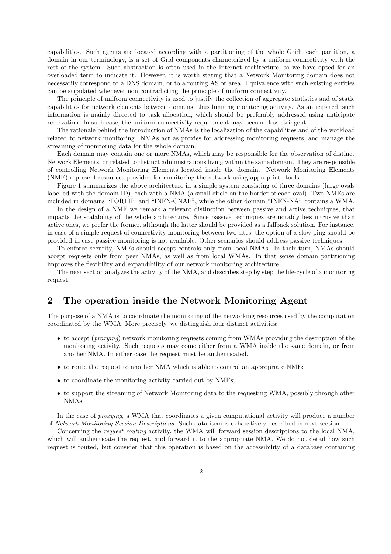capabilities. Such agents are located according with a partitioning of the whole Grid: each partition, a domain in our terminology, is a set of Grid components characterized by a uniform connectivity with the rest of the system. Such abstraction is often used in the Internet architecture, so we have opted for an overloaded term to indicate it. However, it is worth stating that a Network Monitoring domain does not necessarily correspond to a DNS domain, or to a routing AS or area. Equivalence with such existing entities can be stipulated whenever non contradicting the principle of uniform connectivity.

The principle of uniform connectivity is used to justify the collection of aggregate statistics and of static capabilities for network elements between domains, thus limiting monitoring activity. As anticipated, such information is mainly directed to task allocation, which should be preferably addressed using anticipate reservation. In such case, the uniform connectivity requirement may become less stringent.

The rationale behind the introduction of NMAs is the localization of the capabilities and of the workload related to network monitoring. NMAs act as proxies for addressing monitoring requests, and manage the streaming of monitoring data for the whole domain.

Each domain may contain one or more NMAs, which may be responsible for the observation of distinct Network Elements, or related to distinct administrations living within the same domain. They are responsible of controlling Network Monitoring Elements located inside the domain. Network Monitoring Elements (NME) represent resources provided for monitoring the network using appropriate tools.

Figure 1 summarizes the above architecture in a simple system consisting of three domains (large ovals labelled with the domain ID), each with a NMA (a small circle on the border of each oval). Two NMEs are included in domains "FORTH" and "INFN-CNAF", while the other domain "INFN-NA" contains a WMA.

In the design of a NME we remark a relevant distinction between passive and active techniques, that impacts the scalability of the whole architecture. Since passive techniques are notably less intrusive than active ones, we prefer the former, although the latter should be provided as a fallback solution. For instance, in case of a simple request of connectivity monitoring between two sites, the option of a slow ping should be provided in case passive monitoring is not available. Other scenarios should address passive techniques.

To enforce security, NMEs should accept controls only from local NMAs. In their turn, NMAs should accept requests only from peer NMAs, as well as from local WMAs. In that sense domain partitioning improves the flexibility and expandibility of our network monitoring architecture.

The next section analyzes the activity of the NMA, and describes step by step the life-cycle of a monitoring request.

## 2 The operation inside the Network Monitoring Agent

The purpose of a NMA is to coordinate the monitoring of the networking resources used by the computation coordinated by the WMA. More precisely, we distinguish four distinct activities:

- to accept (*proxying*) network monitoring requests coming from WMAs providing the description of the monitoring activity. Such requests may come either from a WMA inside the same domain, or from another NMA. In either case the request must be authenticated.
- to route the request to another NMA which is able to control an appropriate NME;
- to coordinate the monitoring activity carried out by NMEs;
- to support the streaming of Network Monitoring data to the requesting WMA, possibly through other NMAs.

In the case of *proxying*, a WMA that coordinates a given computational activity will produce a number of Network Monitoring Session Descriptions. Such data item is exhaustively described in next section.

Concerning the request routing activity, the WMA will forward session descriptions to the local NMA, which will authenticate the request, and forward it to the appropriate NMA. We do not detail how such request is routed, but consider that this operation is based on the accessibility of a database containing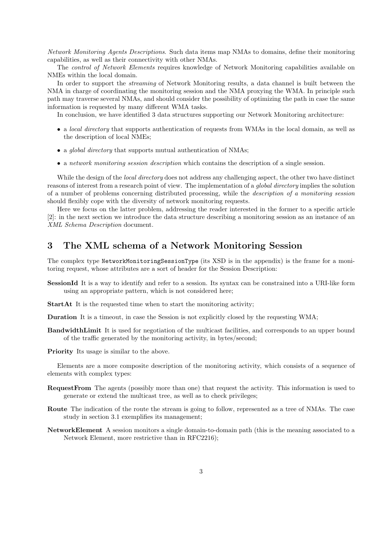Network Monitoring Agents Descriptions. Such data items map NMAs to domains, define their monitoring capabilities, as well as their connectivity with other NMAs.

The control of Network Elements requires knowledge of Network Monitoring capabilities available on NMEs within the local domain.

In order to support the *streaming* of Network Monitoring results, a data channel is built between the NMA in charge of coordinating the monitoring session and the NMA proxying the WMA. In principle such path may traverse several NMAs, and should consider the possibility of optimizing the path in case the same information is requested by many different WMA tasks.

In conclusion, we have identified 3 data structures supporting our Network Monitoring architecture:

- a *local directory* that supports authentication of requests from WMAs in the local domain, as well as the description of local NMEs;
- a *global directory* that supports mutual authentication of NMAs;
- a network monitoring session description which contains the description of a single session.

While the design of the *local directory* does not address any challenging aspect, the other two have distinct reasons of interest from a research point of view. The implementation of a global directory implies the solution of a number of problems concerning distributed processing, while the description of a monitoring session should flexibly cope with the diversity of network monitoring requests.

Here we focus on the latter problem, addressing the reader interested in the former to a specific article [2]: in the next section we introduce the data structure describing a monitoring session as an instance of an XML Schema Description document.

## 3 The XML schema of a Network Monitoring Session

The complex type NetworkMonitoringSessionType (its XSD is in the appendix) is the frame for a monitoring request, whose attributes are a sort of header for the Session Description:

- SessionId It is a way to identify and refer to a session. Its syntax can be constrained into a URI-like form using an appropriate pattern, which is not considered here;
- StartAt It is the requested time when to start the monitoring activity;

Duration It is a timeout, in case the Session is not explicitly closed by the requesting WMA;

BandwidthLimit It is used for negotiation of the multicast facilities, and corresponds to an upper bound of the traffic generated by the monitoring activity, in bytes/second;

Priority Its usage is similar to the above.

Elements are a more composite description of the monitoring activity, which consists of a sequence of elements with complex types:

- RequestFrom The agents (possibly more than one) that request the activity. This information is used to generate or extend the multicast tree, as well as to check privileges;
- Route The indication of the route the stream is going to follow, represented as a tree of NMAs. The case study in section 3.1 exemplifies its management;
- NetworkElement A session monitors a single domain-to-domain path (this is the meaning associated to a Network Element, more restrictive than in RFC2216);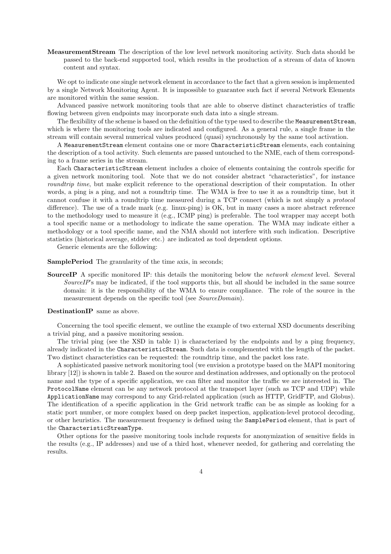MeasurementStream The description of the low level network monitoring activity. Such data should be passed to the back-end supported tool, which results in the production of a stream of data of known content and syntax.

We opt to indicate one single network element in accordance to the fact that a given session is implemented by a single Network Monitoring Agent. It is impossible to guarantee such fact if several Network Elements are monitored within the same session.

Advanced passive network monitoring tools that are able to observe distinct characteristics of traffic flowing between given endpoints may incorporate such data into a single stream.

The flexibility of the scheme is based on the definition of the type used to describe the MeasurementStream, which is where the monitoring tools are indicated and configured. As a general rule, a single frame in the stream will contain several numerical values produced (quasi) synchronously by the same tool activation.

A MeasurementStream element contains one or more CharacteristicStream elements, each containing the description of a tool activity. Such elements are passed untouched to the NME, each of them corresponding to a frame series in the stream.

Each CharacteristicStream element includes a choice of elements containing the controls specific for a given network monitoring tool. Note that we do not consider abstract "characteristics", for instance roundtrip time, but make explicit reference to the operational description of their computation. In other words, a ping is a ping, and not a roundtrip time. The WMA is free to use it as a roundtrip time, but it cannot confuse it with a roundtrip time measured during a TCP connect (which is not simply a protocol difference). The use of a trade mark (e.g. linux-ping) is OK, but in many cases a more abstract reference to the methodology used to measure it (e.g., ICMP ping) is preferable. The tool wrapper may accept both a tool specific name or a methodology to indicate the same operation. The WMA may indicate either a methodology or a tool specific name, and the NMA should not interfere with such indication. Descriptive statistics (historical average, stddev etc.) are indicated as tool dependent options.

Generic elements are the following:

SamplePeriod The granularity of the time axis, in seconds;

**SourceIP** A specific monitored IP: this details the monitoring below the *network element* level. Several SourceIP's may be indicated, if the tool supports this, but all should be included in the same source domain: it is the responsibility of the WMA to ensure compliance. The role of the source in the measurement depends on the specific tool (see SourceDomain).

#### DestinationIP same as above.

Concerning the tool specific element, we outline the example of two external XSD documents describing a trivial ping, and a passive monitoring session.

The trivial ping (see the XSD in table 1) is characterized by the endpoints and by a ping frequency, already indicated in the CharacteristicStream. Such data is complemented with the length of the packet. Two distinct characteristics can be requested: the roundtrip time, and the packet loss rate.

A sophisticated passive network monitoring tool (we envision a prototype based on the MAPI monitoring library [12]) is shown in table 2. Based on the source and destination addresses, and optionally on the protocol name and the type of a specific application, we can filter and monitor the traffic we are interested in. The ProtocolName element can be any network protocol at the transport layer (such as TCP and UDP) while ApplicationName may correspond to any Grid-related application (such as HTTP, GridFTP, and Globus). The identification of a specific application in the Grid network traffic can be as simple as looking for a static port number, or more complex based on deep packet inspection, application-level protocol decoding, or other heuristics. The measurement frequency is defined using the SamplePeriod element, that is part of the CharacteristicStreamType.

Other options for the passive monitoring tools include requests for anonymization of sensitive fields in the results (e.g., IP addresses) and use of a third host, whenever needed, for gathering and correlating the results.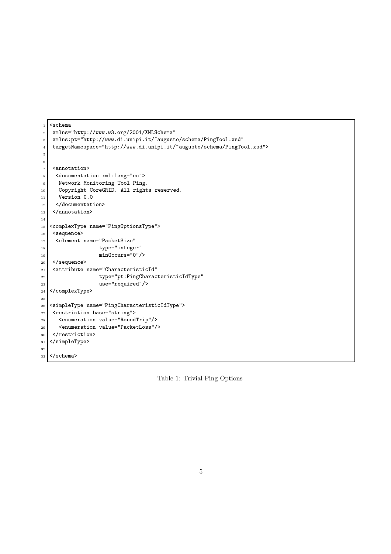```
1 <schema
2 xmlns="http://www.w3.org/2001/XMLSchema"
3 xmlns:pt="http://www.di.unipi.it/~augusto/schema/PingTool.xsd"
4 targetNamespace="http://www.di.unipi.it/~augusto/schema/PingTool.xsd">
5
6
7 <annotation>
8 <documentation xml:lang="en">
9 Network Monitoring Tool Ping.
10 Copyright CoreGRID. All rights reserved.
11 Version 0.0
12 </documentation>
_{13} </annotation>
14
15 | <complexType name="PingOptionsType">
16 <sequence>
17 <element name="PacketSize"
18 type="integer"
19 minOccurs="0"/>
20 </sequence>
_{21} <attribute name="CharacteristicId"
22 type="pt:PingCharacteristicIdType"
23 use="required"/>
24 </complexType>
25
26 <simpleType name="PingCharacteristicIdType">
_{27} <restriction base="string">
28 <enumeration value="RoundTrip"/>
29 <enumeration value="PacketLoss"/>
30 \, </restriction>
31 </simpleType>
32
33 </schema>
```
Table 1: Trivial Ping Options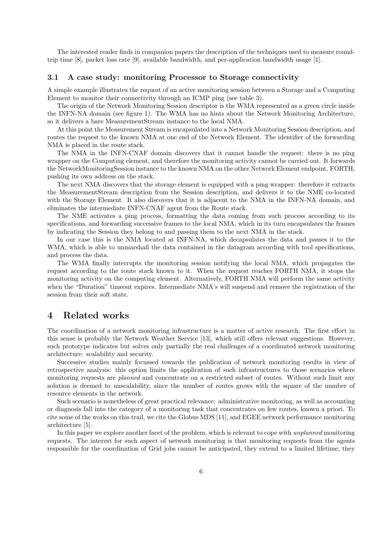The interested reader finds in companion papers the description of the techniques used to measure roundtrip time [8], packet loss rate [9], available bandwidth, and per-application bandwidth usage [1].

### 3.1 A case study: monitoring Processor to Storage connectivity

A simple example illustrates the request of an active monitoring session between a Storage and a Computing Element to monitor their connectivity through an ICMP ping (see table 3).

The origin of the Network Monitoring Session descriptor is the WMA represented as a green circle inside the INFN-NA domain (see figure 1). The WMA has no hints about the Network Monitoring Architecture, so it delivers a bare MeasurementStream instance to the local NMA.

At this point the Measurement Stream is encapsulated into a Network Monitoring Session description, and routes the request to the known NMA at one end of the Network Element. The identifier of the forwarding NMA is placed in the route stack.

The NMA in the INFN-CNAF domain discovers that it cannot handle the request: there is no ping wrapper on the Computing element, and therefore the monitoring activity cannot be carried out. It forwards the NetworkMonitoringSession instance to the known NMA on the other Network Element endpoint, FORTH, pushing its own address on the stack.

The next NMA discovers that the storage element is equipped with a ping wrapper: therefore it extracts the MeasurementStream description from the Session description, and delivers it to the NME co-located with the Storage Element. It also discovers that it is adjacent to the NMA in the INFN-NA domain, and eliminates the intermediate INFN-CNAF agent from the Route stack.

The NME activates a ping process, formatting the data coming from such process according to its specifications, and forwarding successive frames to the local NMA, which in its turn encapsulates the frames by indicating the Session they belong to and passing them to the next NMA in the stack.

In our case this is the NMA located at INFN-NA, which decapsulates the data and passes it to the WMA, which is able to unmarshall the data contained in the datagram according with tool specifications, and process the data.

The WMA finally interrupts the monitoring session notifying the local NMA, which propagates the request according to the route stack known to it. When the request reaches FORTH NMA, it stops the monitoring activity on the computing element. Alternatively, FORTH NMA will perform the same activity when the "Duration" timeout expires. Intermediate NMA's will suspend and remove the registration of the session from their soft state.

### 4 Related works

The coordination of a network monitoring infrastructure is a matter of active research. The first effort in this sense is probably the Network Weather Service [13], which still offers relevant suggestions. However, such prototype indicates but solves only partially the real challenges of a coordinated network monitoring architecture: scalability and security.

Successive studies mainly focussed towards the publication of network monitoring results in view of retrospective analysis: this option limits the application of such infrastructures to those scenarios where monitoring requests are *planned* and concentrate on a restricted subset of routes. Without such limit any solution is deemed to unscalability, since the number of routes grows with the square of the number of resource elements in the network.

Such scenario is nonetheless of great practical relevance: administrative monitoring, as well as accounting or diagnosis fall into the category of a monitoring task that concentrates on few routes, known a priori. To cite some of the works on this trail, we cite the Globus MDS [11], and EGEE network performance monitoring architecture [5].

In this paper we explore another facet of the problem, which is relevant to cope with unplanned monitoring requests. The interest for such aspect of network monitoring is that monitoring requests from the agents responsible for the coordination of Grid jobs cannot be anticipated, they extend to a limited lifetime, they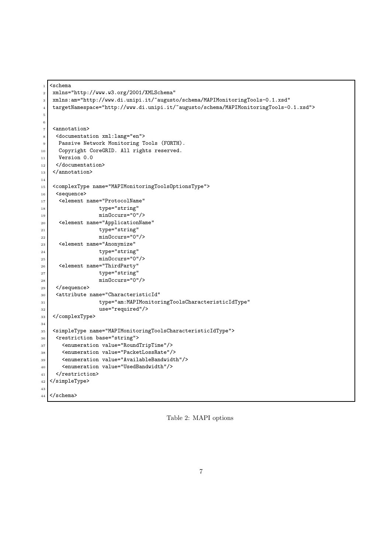```
1 <schema
2 xmlns="http://www.w3.org/2001/XMLSchema"
3 xmlns:am="http://www.di.unipi.it/~augusto/schema/MAPIMonitoringTools-0.1.xsd"
   4 targetNamespace="http://www.di.unipi.it/~augusto/schema/MAPIMonitoringTools-0.1.xsd">
5
6
7 <annotation>
8 <documentation xml:lang="en">
9 | Passive Network Monitoring Tools (FORTH).
10 Copyright CoreGRID. All rights reserved.
11 Version 0.0
12 </documentation>
_{13} </annotation>
14
15 <complexType name="MAPIMonitoringToolsOptionsType">
16 <sequence>
17 <element name="ProtocolName"
18 type="string"
19 minOccurs="0"/>
20 <element name="ApplicationName"
21 type="string"
22 minOccurs="0"/>
23 <element name="Anonymize"
<sup>24</sup> type="string"
25 minOccurs="0"/>
26 <element name="ThirdParty"
27 type="string"
28 minOccurs="0"/>
29 </sequence>
30 <attribute name="CharacteristicId"
31 type="am:MAPIMonitoringToolsCharacteristicIdType"
32 use="required"/>
33 </complexType>
34
35 <simpleType name="MAPIMonitoringToolsCharacteristicIdType">
36 <restriction base="string">
37 <enumeration value="RoundTripTime"/>
38 <enumeration value="PacketLossRate"/>
39 <enumeration value="AvailableBandwidth"/>
40 <enumeration value="UsedBandwidth"/>
41 </restriction>
42 </simpleType>
43
44 </schema>
```
Table 2: MAPI options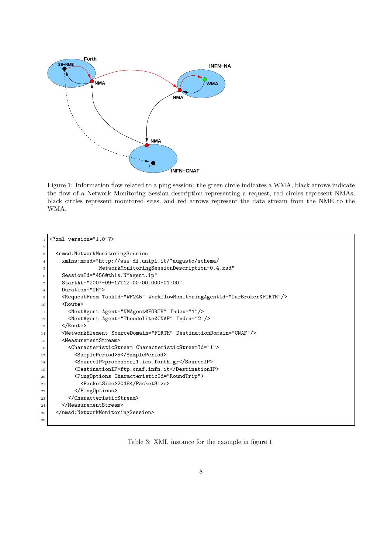

Figure 1: Information flow related to a ping session: the green circle indicates a WMA, black arrows indicate the flow of a Network Monitoring Session description representing a request, red circles represent NMAs, black circles represent monitored sites, and red arrows represent the data stream from the NME to the WMA.

```
<?xml version="1.0"?>
2
3 <nmsd:NetworkMonitoringSession
4 xmlns:nmsd="http://www.di.unipi.it/~augusto/schema/
5 NetworkMonitoringSessionDescription-0.4.xsd"
6 SessionId="456@this.NMagent.ip"
7 StartAt="2007-09-17T12:00:00.000-01:00"
8 Duration="2H">
9 <RequestFrom TaskId="WF245" WorkflowMonitoringAgentId="OurBroker@FORTH"/>
10 <Route>
11 <NextAgent Agent="NMAgent@FORTH" Index="1"/>
12 <NextAgent Agent="Theodolite@CNAF" Index="2"/>
13 </Route>
14 <NetworkElement SourceDomain="FORTH" DestinationDomain="CNAF"/>
15 <MeasurementStream>
16 <CharacteristicStream CharacteristicStreamId="1">
17 <SamplePeriod>5</SamplePeriod>
18 <SourceIP>processor_1.ics.forth.gr</SourceIP>
19 <DestinationIP>ftp.cnaf.infn.it</DestinationIP>
20 <PingOptions CharacteristicId="RoundTrip">
21 <PacketSize>2048</PacketSize>
22 </PingOptions>
23 </CharacteristicStream>
24 </MeasurementStream>
25 </nmsd:NetworkMonitoringSession>
26
```
Table 3: XML instance for the example in figure 1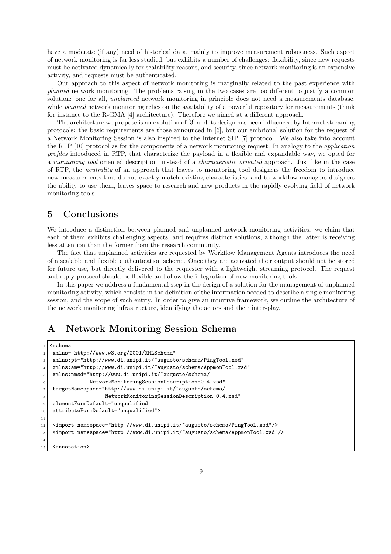have a moderate (if any) need of historical data, mainly to improve measurement robustness. Such aspect of network monitoring is far less studied, but exhibits a number of challenges: flexibility, since new requests must be activated dynamically for scalability reasons, and security, since network monitoring is an expensive activity, and requests must be authenticated.

Our approach to this aspect of network monitoring is marginally related to the past experience with planned network monitoring. The problems raising in the two cases are too different to justify a common solution: one for all, unplanned network monitoring in principle does not need a measurements database, while *planned* network monitoring relies on the availability of a powerful repository for measurements (think for instance to the R-GMA [4] architecture). Therefore we aimed at a different approach.

The architecture we propose is an evolution of [3] and its design has been influenced by Internet streaming protocols: the basic requirements are those announced in [6], but our embrional solution for the request of a Network Monitoring Session is also inspired to the Internet SIP [7] protocol. We also take into account the RTP [10] protocol as for the components of a network monitoring request. In analogy to the application profiles introduced in RTP, that characterize the payload in a flexible and expandable way, we opted for a monitoring tool oriented description, instead of a characteristic oriented approach. Just like in the case of RTP, the neutrality of an approach that leaves to monitoring tool designers the freedom to introduce new measurements that do not exactly match existing characteristics, and to workflow managers designers the ability to use them, leaves space to research and new products in the rapidly evolving field of network monitoring tools.

## 5 Conclusions

We introduce a distinction between planned and unplanned network monitoring activities: we claim that each of them exhibits challenging aspects, and requires distinct solutions, although the latter is receiving less attention than the former from the research community.

The fact that unplanned activities are requested by Workflow Management Agents introduces the need of a scalable and flexible authentication scheme. Once they are activated their output should not be stored for future use, but directly delivered to the requester with a lightweight streaming protocol. The request and reply protocol should be flexible and allow the integration of new monitoring tools.

In this paper we address a fundamental step in the design of a solution for the management of unplanned monitoring activity, which consists in the definition of the information needed to describe a single monitoring session, and the scope of such entity. In order to give an intuitive framework, we outline the architecture of the network monitoring infrastructure, identifying the actors and their inter-play.

## A Network Monitoring Session Schema

```
1 <schema
2 xmlns="http://www.w3.org/2001/XMLSchema"
3 xmlns:pt="http://www.di.unipi.it/~augusto/schema/PingTool.xsd"
   4 xmlns:am="http://www.di.unipi.it/~augusto/schema/AppmonTool.xsd"
5 xmlns:nmsd="http://www.di.unipi.it/~augusto/schema/
6 NetworkMonitoringSessionDescription-0.4.xsd"
7 targetNamespace="http://www.di.unipi.it/~augusto/schema/
                    8 NetworkMonitoringSessionDescription-0.4.xsd"
9 elementFormDefault="unqualified"
10 attributeFormDefault="unqualified">
11
12 <import namespace="http://www.di.unipi.it/~augusto/schema/PingTool.xsd"/>
13 <import namespace="http://www.di.unipi.it/~augusto/schema/AppmonTool.xsd"/>
14
```

```
15 <annotation>
```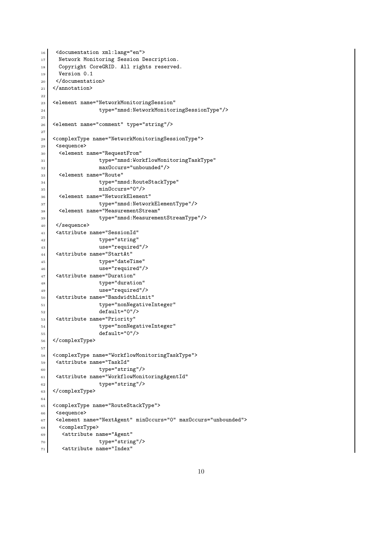```
16 <documentation xml:lang="en">
17 Network Monitoring Session Description.
18 Copyright CoreGRID. All rights reserved.
19 Version 0.1
20 </documentation>
21 </annotation>
22
23 <element name="NetworkMonitoringSession"
24 type="nmsd:NetworkMonitoringSessionType"/>
25
26 <element name="comment" type="string"/>
27
28 <complexType name="NetworkMonitoringSessionType">
29 <sequence>
30 <element name="RequestFrom"
31 type="nmsd:WorkflowMonitoringTaskType"
32 maxOccurs="unbounded"/>
33 <element name="Route"
34 type="nmsd:RouteStackType"
35 minOccurs="0"/>
36 <element name="NetworkElement"
37 type="nmsd:NetworkElementType"/>
38 <element name="MeasurementStream"
39 type="nmsd:MeasurementStreamType"/>
40 </sequence>
41 <attribute name="SessionId"
42 type="string"
43 use="required"/>
44 <attribute name="StartAt"
45 type="dateTime"
46 use="required"/>
47 <attribute name="Duration"
48 type="duration"
49 use="required"/>
50 <attribute name="BandwidthLimit"
51 type="nonNegativeInteger"
52 default="0"/>
53 <attribute name="Priority"
54 type="nonNegativeInteger"
55 default="0"/>
56 </complexType>
57
58 <complexType name="WorkflowMonitoringTaskType">
59 <attribute name="TaskId"
60 type="string"/>
61 <attribute name="WorkflowMonitoringAgentId"
62 type="string"/>
63 </complexType>
64
65 <complexType name="RouteStackType">
66 <sequence>
67 <element name="NextAgent" minOccurs="0" maxOccurs="unbounded">
68 <complexType>
69 <attribute name="Agent"
70 type="string"/>
71 <attribute name="Index"
```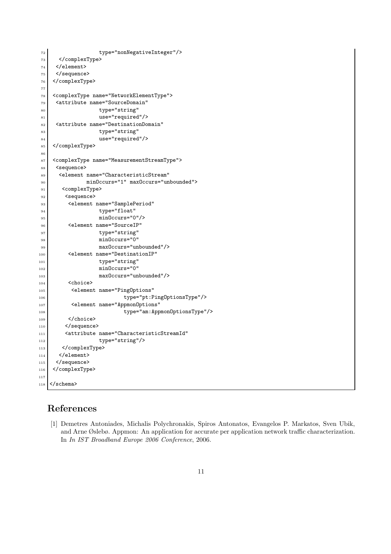```
72 type="nonNegativeInteger"/>
73 </complexType>
74 </element>
75 </sequence>
76 </complexType>
77
78 <complexType name="NetworkElementType">
79 <attribute name="SourceDomain"
80 type="string"
81 use="required"/>
|82| <attribute name="DestinationDomain"
83 type="string"
84 use="required"/>
85 </complexType>
86
87 <complexType name="MeasurementStreamType">
88 <sequence>
89 <element name="CharacteristicStream"
90 minOccurs="1" maxOccurs="unbounded">
91 <complexType>
92 <sequence>
93 <element name="SamplePeriod"
94 type="float"
95 minOccurs="0"/>
96 <element name="SourceIP"
97 type="string"
98 minOccurs="0"
99 maxOccurs="unbounded"/>
100 <element name="DestinationIP"
101 type="string"
102 minOccurs="0"
103 maxOccurs="unbounded"/>
104 <choice>
105 <element name="PingOptions"
106 type="pt:PingOptionsType"/>
107 <element name="AppmonOptions"
108 type="am:AppmonOptionsType"/>
109 </choice>
110 </sequence>
111 <attribute name="CharacteristicStreamId"
112 type="string"/>
113 </complexType>
_{114} </element>
115 </sequence>
116 </complexType>
117
118 </schema>
```
## References

[1] Demetres Antoniades, Michalis Polychronakis, Spiros Antonatos, Evangelos P. Markatos, Sven Ubik, and Arne Øslebø. Appmon: An application for accurate per application network traffic characterization. In In IST Broadband Europe 2006 Conference, 2006.